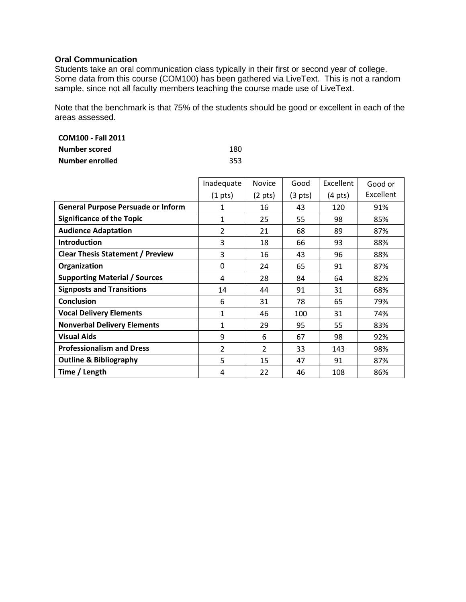## **Oral Communication**

Students take an oral communication class typically in their first or second year of college. Some data from this course (COM100) has been gathered via LiveText. This is not a random sample, since not all faculty members teaching the course made use of LiveText.

Note that the benchmark is that 75% of the students should be good or excellent in each of the areas assessed.

| <b>COM100 - Fall 2011</b> |     |
|---------------------------|-----|
| Number scored             | 180 |
| Number enrolled           | 353 |

|                                           | Inadequate        | Novice            | Good              | Excellent         | Good or   |
|-------------------------------------------|-------------------|-------------------|-------------------|-------------------|-----------|
|                                           | $(1 \text{ pts})$ | $(2 \text{ pts})$ | $(3 \text{ pts})$ | $(4 \text{ pts})$ | Excellent |
| <b>General Purpose Persuade or Inform</b> |                   | 16                | 43                | 120               | 91%       |
| <b>Significance of the Topic</b>          | 1                 | 25                | 55                | 98                | 85%       |
| <b>Audience Adaptation</b>                | 2                 | 21                | 68                | 89                | 87%       |
| <b>Introduction</b>                       | 3                 | 18                | 66                | 93                | 88%       |
| <b>Clear Thesis Statement / Preview</b>   | 3                 | 16                | 43                | 96                | 88%       |
| Organization                              | 0                 | 24                | 65                | 91                | 87%       |
| <b>Supporting Material / Sources</b>      | 4                 | 28                | 84                | 64                | 82%       |
| <b>Signposts and Transitions</b>          | 14                | 44                | 91                | 31                | 68%       |
| <b>Conclusion</b>                         | 6                 | 31                | 78                | 65                | 79%       |
| <b>Vocal Delivery Elements</b>            | 1                 | 46                | 100               | 31                | 74%       |
| <b>Nonverbal Delivery Elements</b>        | 1                 | 29                | 95                | 55                | 83%       |
| <b>Visual Aids</b>                        | 9                 | 6                 | 67                | 98                | 92%       |
| <b>Professionalism and Dress</b>          | $\overline{2}$    | $\overline{2}$    | 33                | 143               | 98%       |
| <b>Outline &amp; Bibliography</b>         | 5                 | 15                | 47                | 91                | 87%       |
| Time / Length                             | 4                 | 22                | 46                | 108               | 86%       |